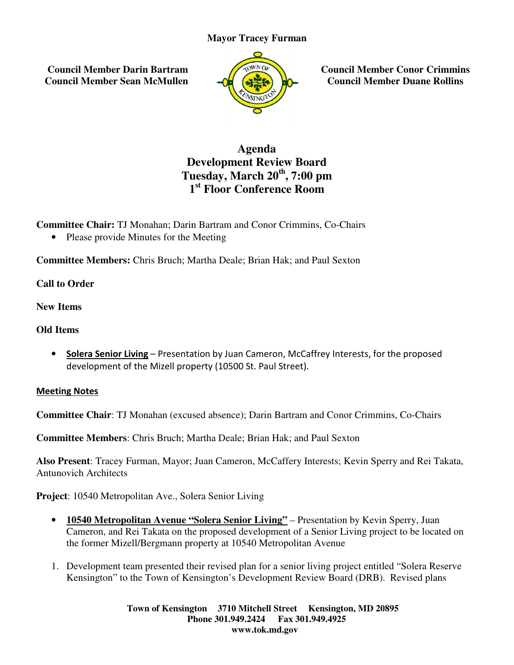## **Mayor Tracey Furman**

 **Council Member Darin Bartram Council Member Sean McMullen**



**Council Member Conor Crimmins Council Member Duane Rollins**

## **Development Review Board Tuesday Tuesday, March 20th, 7:00 pm 1 st Floor Conference Room Agenda**

**Committee Chair:** TJ Monahan; Darin Bartram and Conor Crimmins, Co-Chairs

• Please provide Minutes for the Meeting

**•** Please provide Minutes for the Meeting<br> **Committee Members:** Chris Bruch; Martha Deale; Brian Hak; and Paul Sexton

**Call to Order**

**New Items** 

**Old Items** 

• Solera Senior Living - Presentation by Juan Cameron, McCaffrey Interests, for the proposed development of the Mizell property (10500 St. Paul Street).

Meeting Notes

Committee Chair: TJ Monahan (excused absence); Darin Bartram and Conor Crimmins, Co-Chairs

**Committee Chair**: TJ Monahan (excused absence); Darin Bartram and Conor C:<br>**Committee Members**: Chris Bruch; Martha Deale; Brian Hak; and Paul Sexton

Also Present: Tracey Furman, Mayor; Juan Cameron, McCaffery Interests; Kevin Sperry and Rei Takata, Antunovich Architects

**Project**: 10540 Metropolitan Ave., Solera Senior Living

- ject: 10540 Metropolitan Ave., Solera Senior Living<br>• 10540 Metropolitan Avenue "Solera Senior Living" Presentation by Kevin Sperry, Juan Pesent: Tracey Furman, Mayor; Juan Cameron, McCaffery Interests; Kevin Sperry and Rei Takata,<br>
2006): 10540 Metropolitan Ave., Solera Senior Living<br>
2016-2016 Metropolitan Avenue "Solera Senior Living" – Presentation by Ke the former Mizell/Bergmann property at 10540 Metropolitan Avenue Cameron, and Rei Takata on the proposed development of a Senior Living project to be located on<br>the former Mizell/Bergmann property at 10540 Metropolitan Avenue<br>1. Development team presented their revised plan for a senior Council Member Conor Crimmin<br>
Council Member Duane Rollins<br>
d<br>
d<br>
m<br>
1<br>
Co-Chairs<br>
ul Sexton<br>
ey Interests, for the proposed<br>
d<br>
Conor Crimmins, Co-Chairs<br>
ul Sexton<br>
rests; Kevin Sperry and Rei Takata,<br>
ntation by Kevin S
- Kensington" to the Town of Kensington's Development Review Board (DRB). Revised plans

**Town of Kensington Kensington 3710 Mitchell Street Kensington, MD 20895 Phone 301.949.2424 301.949.2424 Fax 301.949.4925 www.tok.md.gov**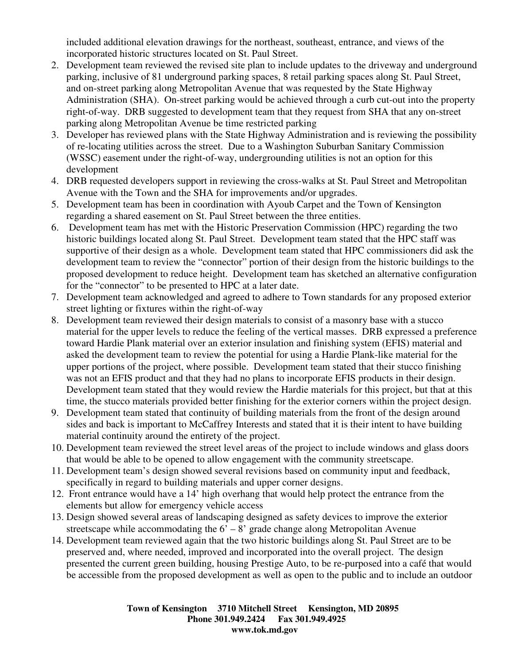included additional elevation drawings for the northeast, southeast, entrance, and views of the incorporated historic structures located on St. Paul Street.

- 2. Development team reviewed the revised site plan to include updates to the driveway and underground parking, inclusive of 81 underground parking spaces, 8 retail parking spaces along St. Paul Street, and on-street parking along Metropolitan Avenue that was requested by the State Highway Administration (SHA). On-street parking would be achieved through a curb cut-out into the property right-of-way. DRB suggested to development team that they request from SHA that any on-street parking along Metropolitan Avenue be time restricted parking
- 3. Developer has reviewed plans with the State Highway Administration and is reviewing the possibility of re-locating utilities across the street. Due to a Washington Suburban Sanitary Commission (WSSC) easement under the right-of-way, undergrounding utilities is not an option for this development
- 4. DRB requested developers support in reviewing the cross-walks at St. Paul Street and Metropolitan Avenue with the Town and the SHA for improvements and/or upgrades.
- 5. Development team has been in coordination with Ayoub Carpet and the Town of Kensington regarding a shared easement on St. Paul Street between the three entities.
- 6. Development team has met with the Historic Preservation Commission (HPC) regarding the two historic buildings located along St. Paul Street. Development team stated that the HPC staff was supportive of their design as a whole. Development team stated that HPC commissioners did ask the development team to review the "connector" portion of their design from the historic buildings to the proposed development to reduce height. Development team has sketched an alternative configuration for the "connector" to be presented to HPC at a later date.
- 7. Development team acknowledged and agreed to adhere to Town standards for any proposed exterior street lighting or fixtures within the right-of-way
- 8. Development team reviewed their design materials to consist of a masonry base with a stucco material for the upper levels to reduce the feeling of the vertical masses. DRB expressed a preference toward Hardie Plank material over an exterior insulation and finishing system (EFIS) material and asked the development team to review the potential for using a Hardie Plank-like material for the upper portions of the project, where possible. Development team stated that their stucco finishing was not an EFIS product and that they had no plans to incorporate EFIS products in their design. Development team stated that they would review the Hardie materials for this project, but that at this time, the stucco materials provided better finishing for the exterior corners within the project design.
- 9. Development team stated that continuity of building materials from the front of the design around sides and back is important to McCaffrey Interests and stated that it is their intent to have building material continuity around the entirety of the project.
- 10. Development team reviewed the street level areas of the project to include windows and glass doors that would be able to be opened to allow engagement with the community streetscape.
- 11. Development team's design showed several revisions based on community input and feedback, specifically in regard to building materials and upper corner designs.
- 12. Front entrance would have a 14' high overhang that would help protect the entrance from the elements but allow for emergency vehicle access
- 13. Design showed several areas of landscaping designed as safety devices to improve the exterior streetscape while accommodating the  $6' - 8'$  grade change along Metropolitan Avenue
- 14. Development team reviewed again that the two historic buildings along St. Paul Street are to be preserved and, where needed, improved and incorporated into the overall project. The design presented the current green building, housing Prestige Auto, to be re-purposed into a café that would be accessible from the proposed development as well as open to the public and to include an outdoor

**Town of Kensington 3710 Mitchell Street Kensington, MD 20895 Phone 301.949.2424 Fax 301.949.4925 www.tok.md.gov**